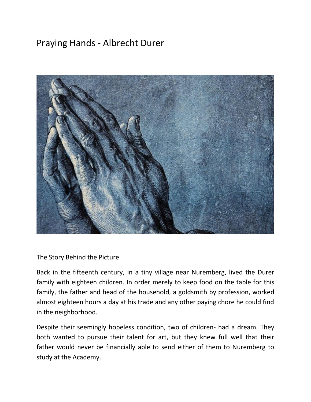## Praying Hands - Albrecht Durer



The Story Behind the Picture

Back in the fifteenth century, in a tiny village near Nuremberg, lived the Durer family with eighteen children. In order merely to keep food on the table for this family, the father and head of the household, a goldsmith by profession, worked almost eighteen hours a day at his trade and any other paying chore he could find in the neighborhood.

Despite their seemingly hopeless condition, two of children- had a dream. They both wanted to pursue their talent for art, but they knew full well that their father would never be financially able to send either of them to Nuremberg to study at the Academy.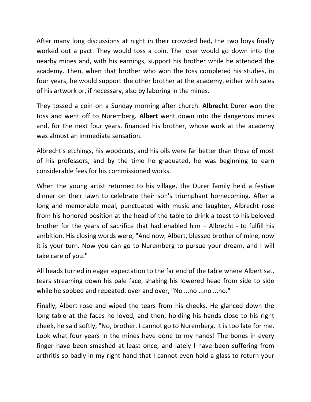After many long discussions at night in their crowded bed, the two boys finally worked out a pact. They would toss a coin. The loser would go down into the nearby mines and, with his earnings, support his brother while he attended the academy. Then, when that brother who won the toss completed his studies, in four years, he would support the other brother at the academy, either with sales of his artwork or, if necessary, also by laboring in the mines.

They tossed a coin on a Sunday morning after church. **Albrecht** Durer won the toss and went off to Nuremberg. **Albert** went down into the dangerous mines and, for the next four years, financed his brother, whose work at the academy was almost an immediate sensation.

Albrecht's etchings, his woodcuts, and his oils were far better than those of most of his professors, and by the time he graduated, he was beginning to earn considerable fees for his commissioned works.

When the young artist returned to his village, the Durer family held a festive dinner on their lawn to celebrate their son's triumphant homecoming. After a long and memorable meal, punctuated with music and laughter, Albrecht rose from his honored position at the head of the table to drink a toast to his beloved brother for the years of sacrifice that had enabled him – Albrecht - to fulfill his ambition. His closing words were, "And now, Albert, blessed brother of mine, now it is your turn. Now you can go to Nuremberg to pursue your dream, and I will take care of you."

All heads turned in eager expectation to the far end of the table where Albert sat, tears streaming down his pale face, shaking his lowered head from side to side while he sobbed and repeated, over and over, "No ...no ...no ...no."

Finally, Albert rose and wiped the tears from his cheeks. He glanced down the long table at the faces he loved, and then, holding his hands close to his right cheek, he said softly, "No, brother. I cannot go to Nuremberg. It is too late for me. Look what four years in the mines have done to my hands! The bones in every finger have been smashed at least once, and lately I have been suffering from arthritis so badly in my right hand that I cannot even hold a glass to return your